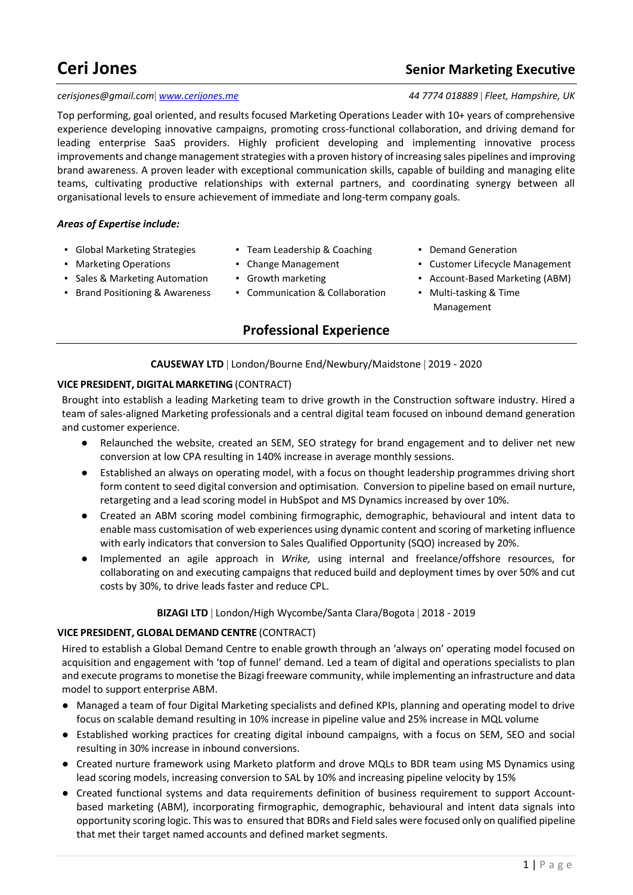# **Ceri Jones Ceri Jones Ceri Jones Ceri Jones Ceri Jones Ceri** *Senior Marketing Executive*

#### *cerisjones@gmail.com [www.cerijones.me](http://www.cerijones.me/) 44 7774 018889 Fleet, Hampshire, UK*

Top performing, goal oriented, and results focused Marketing Operations Leader with 10+ years of comprehensive experience developing innovative campaigns, promoting cross-functional collaboration, and driving demand for leading enterprise SaaS providers. Highly proficient developing and implementing innovative process improvements and change management strategies with a proven history of increasing sales pipelines and improving brand awareness. A proven leader with exceptional communication skills, capable of building and managing elite teams, cultivating productive relationships with external partners, and coordinating synergy between all organisational levels to ensure achievement of immediate and long-term company goals.

#### *Areas of Expertise include:*

- 
- 
- Sales & Marketing Automation Growth marketing  **Account-Based Marketing (ABM)**
- Brand Positioning & Awareness Communication & Collaboration Multi-tasking & Time
- Global Marketing Strategies Team Leadership & Coaching Demand Generation
	-
	-
	-

# **Professional Experience**

- 
- Marketing Operations Change Management Customer Lifecycle Management
	-
	- Management

**CAUSEWAY LTD** | London/Bourne End/Newbury/Maidstone | 2019 - 2020

#### **VICE PRESIDENT, DIGITAL MARKETING** (CONTRACT)

Brought into establish a leading Marketing team to drive growth in the Construction software industry. Hired a team of sales-aligned Marketing professionals and a central digital team focused on inbound demand generation and customer experience.

- Relaunched the website, created an SEM, SEO strategy for brand engagement and to deliver net new conversion at low CPA resulting in 140% increase in average monthly sessions.
- Established an always on operating model, with a focus on thought leadership programmes driving short form content to seed digital conversion and optimisation. Conversion to pipeline based on email nurture, retargeting and a lead scoring model in HubSpot and MS Dynamics increased by over 10%.
- Created an ABM scoring model combining firmographic, demographic, behavioural and intent data to enable mass customisation of web experiences using dynamic content and scoring of marketing influence with early indicators that conversion to Sales Qualified Opportunity (SQO) increased by 20%.
- Implemented an agile approach in *Wrike,* using internal and freelance/offshore resources, for collaborating on and executing campaigns that reduced build and deployment times by over 50% and cut costs by 30%, to drive leads faster and reduce CPL.

#### **BIZAGI LTD** | London/High Wycombe/Santa Clara/Bogota | 2018 - 2019

#### **VICE PRESIDENT, GLOBAL DEMAND CENTRE** (CONTRACT)

Hired to establish a Global Demand Centre to enable growth through an 'always on' operating model focused on acquisition and engagement with 'top of funnel' demand. Led a team of digital and operations specialists to plan and execute programs to monetise the Bizagi freeware community, while implementing an infrastructure and data model to support enterprise ABM.

- Managed a team of four Digital Marketing specialists and defined KPIs, planning and operating model to drive focus on scalable demand resulting in 10% increase in pipeline value and 25% increase in MQL volume
- Established working practices for creating digital inbound campaigns, with a focus on SEM, SEO and social resulting in 30% increase in inbound conversions.
- Created nurture framework using Marketo platform and drove MQLs to BDR team using MS Dynamics using lead scoring models, increasing conversion to SAL by 10% and increasing pipeline velocity by 15%
- Created functional systems and data requirements definition of business requirement to support Accountbased marketing (ABM), incorporating firmographic, demographic, behavioural and intent data signals into opportunity scoring logic. This was to ensured that BDRs and Field sales were focused only on qualified pipeline that met their target named accounts and defined market segments.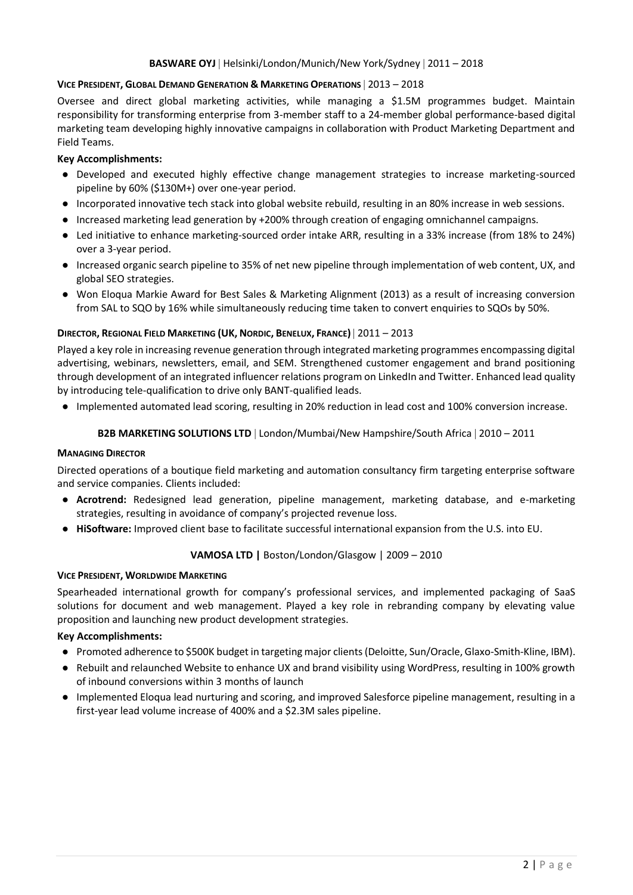### **BASWARE OYJ | Helsinki/London/Munich/New York/Sydney | 2011 - 2018**

#### **VICE PRESIDENT, GLOBAL DEMAND GENERATION & MARKETING OPERATIONS**  2013 – 2018

Oversee and direct global marketing activities, while managing a \$1.5M programmes budget. Maintain responsibility for transforming enterprise from 3-member staff to a 24-member global performance-based digital marketing team developing highly innovative campaigns in collaboration with Product Marketing Department and Field Teams.

#### **Key Accomplishments:**

- Developed and executed highly effective change management strategies to increase marketing-sourced pipeline by 60% (\$130M+) over one-year period.
- Incorporated innovative tech stack into global website rebuild, resulting in an 80% increase in web sessions.
- Increased marketing lead generation by +200% through creation of engaging omnichannel campaigns.
- Led initiative to enhance marketing-sourced order intake ARR, resulting in a 33% increase (from 18% to 24%) over a 3-year period.
- Increased organic search pipeline to 35% of net new pipeline through implementation of web content, UX, and global SEO strategies.
- Won Eloqua Markie Award for Best Sales & Marketing Alignment (2013) as a result of increasing conversion from SAL to SQO by 16% while simultaneously reducing time taken to convert enquiries to SQOs by 50%.

#### **DIRECTOR, REGIONAL FIELD MARKETING (UK, NORDIC, BENELUX, FRANCE)** 2011 – 2013

Played a key role in increasing revenue generation through integrated marketing programmes encompassing digital advertising, webinars, newsletters, email, and SEM. Strengthened customer engagement and brand positioning through development of an integrated influencer relations program on LinkedIn and Twitter. Enhanced lead quality by introducing tele-qualification to drive only BANT-qualified leads.

● Implemented automated lead scoring, resulting in 20% reduction in lead cost and 100% conversion increase.

#### **B2B MARKETING SOLUTIONS LTD** | London/Mumbai/New Hampshire/South Africa | 2010 – 2011

#### **MANAGING DIRECTOR**

Directed operations of a boutique field marketing and automation consultancy firm targeting enterprise software and service companies. Clients included:

- **Acrotrend:** Redesigned lead generation, pipeline management, marketing database, and e-marketing strategies, resulting in avoidance of company's projected revenue loss.
- **HiSoftware:** Improved client base to facilitate successful international expansion from the U.S. into EU.

#### **VAMOSA LTD |** Boston/London/Glasgow | 2009 – 2010

#### **VICE PRESIDENT, WORLDWIDE MARKETING**

Spearheaded international growth for company's professional services, and implemented packaging of SaaS solutions for document and web management. Played a key role in rebranding company by elevating value proposition and launching new product development strategies.

#### **Key Accomplishments:**

- Promoted adherence to \$500K budget in targeting major clients (Deloitte, Sun/Oracle, Glaxo-Smith-Kline, IBM).
- Rebuilt and relaunched Website to enhance UX and brand visibility using WordPress, resulting in 100% growth of inbound conversions within 3 months of launch
- Implemented Eloqua lead nurturing and scoring, and improved Salesforce pipeline management, resulting in a first-year lead volume increase of 400% and a \$2.3M sales pipeline.